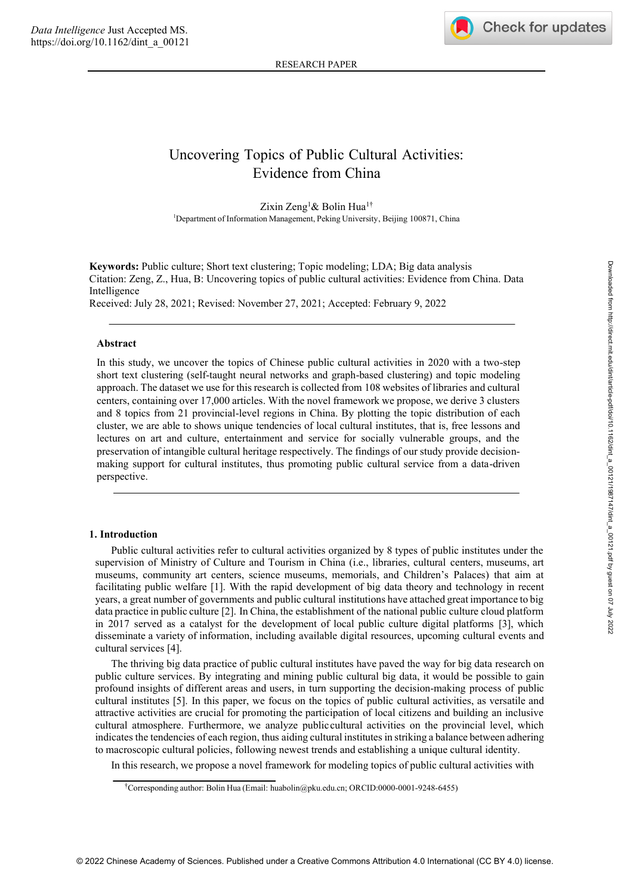RESEARCH PAPER

# Uncovering Topics of Public Cultural Activities: Evidence from China

Zixin Zeng<sup>1</sup>& Bolin Hua<sup>1†</sup> <sup>1</sup>Department of Information Management, Peking University, Beijing 100871, China

**Keywords:** Public culture; Short text clustering; Topic modeling; LDA; Big data analysis Citation: Zeng, Z., Hua, B: Uncovering topics of public cultural activities: Evidence from China. Data Intelligence Received: July 28, 2021; Revised: November 27, 2021; Accepted: February 9, 2022

## **Abstract**

In this study, we uncover the topics of Chinese public cultural activities in 2020 with a two-step short text clustering (self-taught neural networks and graph-based clustering) and topic modeling approach. The dataset we use for this research is collected from 108 websites of libraries and cultural centers, containing over 17,000 articles. With the novel framework we propose, we derive 3 clusters and 8 topics from 21 provincial-level regions in China. By plotting the topic distribution of each cluster, we are able to shows unique tendencies of local cultural institutes, that is, free lessons and lectures on art and culture, entertainment and service for socially vulnerable groups, and the preservation of intangible cultural heritage respectively. The findings of our study provide decisionmaking support for cultural institutes, thus promoting public cultural service from a data-driven perspective.

#### **1. Introduction**

Public cultural activities refer to cultural activities organized by 8 types of public institutes under the supervision of Ministry of Culture and Tourism in China (i.e., libraries, cultural centers, museums, art museums, community art centers, science museums, memorials, and Children's Palaces) that aim at facilitating public welfare [1]. With the rapid development of big data theory and technology in recent years, a great number of governments and public cultural institutions have attached greatimportance to big data practice in public culture [2]. In China, the establishment of the national public culture cloud platform in 2017 served as a catalyst for the development of local public culture digital platforms [3], which disseminate a variety of information, including available digital resources, upcoming cultural events and cultural services [4].

The thriving big data practice of public cultural institutes have paved the way for big data research on public culture services. By integrating and mining public cultural big data, it would be possible to gain profound insights of different areas and users, in turn supporting the decision-making process of public cultural institutes [5]. In this paper, we focus on the topics of public cultural activities, as versatile and attractive activities are crucial for promoting the participation of local citizens and building an inclusive cultural atmosphere. Furthermore, we analyze publiccultural activities on the provincial level, which indicates the tendencies of each region, thus aiding cultural institutes in striking a balance between adhering to macroscopic cultural policies, following newest trends and establishing a unique cultural identity.

In this research, we propose a novel framework for modeling topics of public cultural activities with

<sup>†</sup>Corresponding author: Bolin Hua (Email: huabolin@pku.edu.cn; ORCID:0000-0001-9248-6455)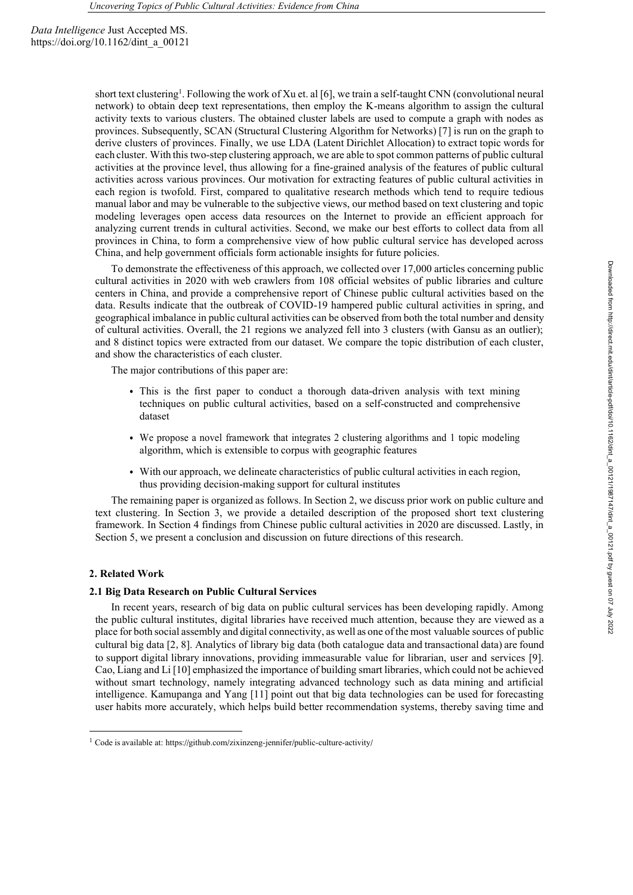short text clustering<sup>1</sup>. Following the work of Xu et. al [6], we train a self-taught CNN (convolutional neural network) to obtain deep text representations, then employ the K-means algorithm to assign the cultural activity texts to various clusters. The obtained cluster labels are used to compute a graph with nodes as provinces. Subsequently, SCAN (Structural Clustering Algorithm for Networks) [7] is run on the graph to derive clusters of provinces. Finally, we use LDA (Latent Dirichlet Allocation) to extract topic words for each cluster. With this two-step clustering approach, we are able to spot common patterns of public cultural activities at the province level, thus allowing for a fine-grained analysis of the features of public cultural activities across various provinces. Our motivation for extracting features of public cultural activities in each region is twofold. First, compared to qualitative research methods which tend to require tedious manual labor and may be vulnerable to the subjective views, our method based on text clustering and topic modeling leverages open access data resources on the Internet to provide an efficient approach for analyzing current trends in cultural activities. Second, we make our best efforts to collect data from all provinces in China, to form a comprehensive view of how public cultural service has developed across China, and help government officials form actionable insights for future policies.

To demonstrate the effectiveness of this approach, we collected over 17,000 articles concerning public cultural activities in 2020 with web crawlers from 108 official websites of public libraries and culture centers in China, and provide a comprehensive report of Chinese public cultural activities based on the data. Results indicate that the outbreak of COVID-19 hampered public cultural activities in spring, and geographical imbalance in public cultural activities can be observed from both the total number and density of cultural activities. Overall, the 21 regions we analyzed fell into 3 clusters (with Gansu as an outlier); and 8 distinct topics were extracted from our dataset. We compare the topic distribution of each cluster, and show the characteristics of each cluster.

The major contributions of this paper are:

- This is the first paper to conduct a thorough data-driven analysis with text mining techniques on public cultural activities, based on a self-constructed and comprehensive dataset
- We propose a novel framework that integrates 2 clustering algorithms and 1 topic modeling algorithm, which is extensible to corpus with geographic features
- With our approach, we delineate characteristics of public cultural activities in each region, thus providing decision-making support for cultural institutes

The remaining paper is organized as follows. In Section 2, we discuss prior work on public culture and text clustering. In Section 3, we provide a detailed description of the proposed short text clustering framework. In Section 4 findings from Chinese public cultural activities in 2020 are discussed. Lastly, in Section 5, we present a conclusion and discussion on future directions of this research.

## **2. Related Work**

#### **2.1 Big Data Research on Public Cultural Services**

In recent years, research of big data on public cultural services has been developing rapidly. Among the public cultural institutes, digital libraries have received much attention, because they are viewed as a place for both social assembly and digital connectivity, as well as one of the most valuable sources of public cultural big data [2,8]. Analytics of library big data (both catalogue data and transactional data) are found to support digital library innovations, providing immeasurable value for librarian, user and services [9]. Cao, Liang and Li [10] emphasized the importance of building smart libraries, which could not be achieved without smart technology, namely integrating advanced technology such as data mining and artificial intelligence. Kamupanga and Yang [11] point out that big data technologies can be used for forecasting user habits more accurately, which helps build better recommendation systems, thereby saving time and

<sup>&</sup>lt;sup>1</sup> Code is available at: https://github.com/zixinzeng-jennifer/public-culture-activity/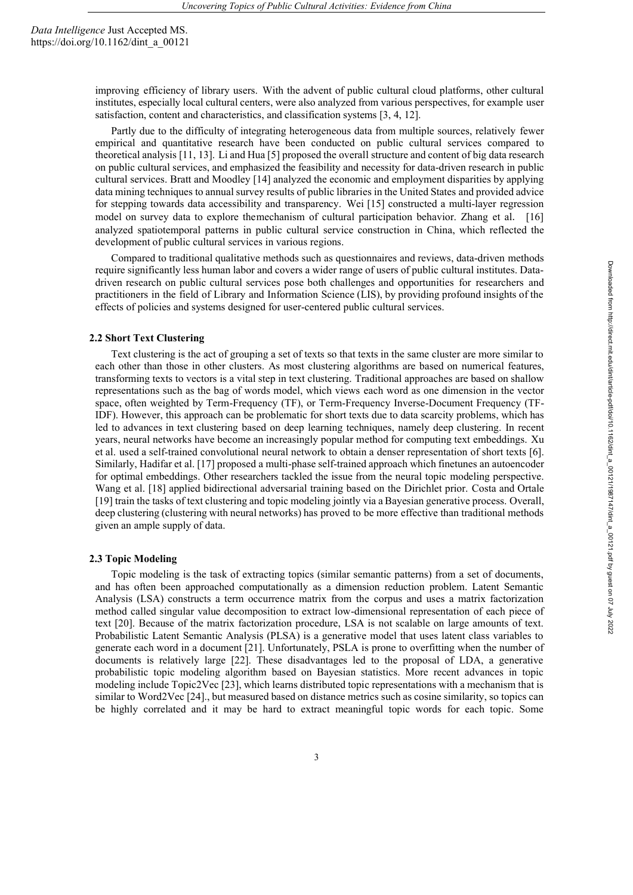> improving efficiency of library users. With the advent of public cultural cloud platforms, other cultural institutes, especially local cultural centers, were also analyzed from various perspectives, for example user satisfaction, content and characteristics, and classification systems [3, 4, 12].

> Partly due to the difficulty of integrating heterogeneous data from multiple sources, relatively fewer empirical and quantitative research have been conducted on public cultural services compared to theoretical analysis [11, 13]. Li and Hua [5] proposed the overall structure and content of big data research on public cultural services, and emphasized the feasibility and necessity for data-driven research in public cultural services. Bratt and Moodley [14] analyzed the economic and employment disparities by applying data mining techniques to annual survey results of public libraries in the United States and provided advice for stepping towards data accessibility and transparency. Wei [15] constructed a multi-layer regression model on survey data to explore themechanism of cultural participation behavior. Zhang et al. [16] analyzed spatiotemporal patterns in public cultural service construction in China, which reflected the development of public cultural services in various regions.

> Compared to traditional qualitative methods such as questionnaires and reviews, data-driven methods require significantly less human labor and covers a wider range of users of public cultural institutes. Datadriven research on public cultural services pose both challenges and opportunities for researchers and practitioners in the field of Library and Information Science (LIS), by providing profound insights of the effects of policies and systems designed for user-centered public cultural services.

#### **2.2 Short Text Clustering**

Text clustering is the act of grouping a set of texts so that texts in the same cluster are more similar to each other than those in other clusters. As most clustering algorithms are based on numerical features, transforming texts to vectors is a vital step in text clustering. Traditional approaches are based on shallow representations such as the bag of words model, which views each word as one dimension in the vector space, often weighted by Term-Frequency (TF), or Term-Frequency Inverse-Document Frequency (TF-IDF). However, this approach can be problematic for short texts due to data scarcity problems, which has led to advances in text clustering based on deep learning techniques, namely deep clustering. In recent years, neural networks have become an increasingly popular method for computing text embeddings. Xu et al. used a self-trained convolutional neural network to obtain a denser representation of short texts [6]. Similarly, Hadifar et al. [17] proposed a multi-phase self-trained approach which finetunes an autoencoder for optimal embeddings. Other researchers tackled the issue from the neural topic modeling perspective. Wang et al. [18] applied bidirectional adversarial training based on the Dirichlet prior. Costa and Ortale [19] train the tasks of text clustering and topic modeling jointly via a Bayesian generative process. Overall, deep clustering (clustering with neural networks) has proved to be more effective than traditional methods given an ample supply of data.

#### **2.3 Topic Modeling**

Topic modeling is the task of extracting topics (similar semantic patterns) from a set of documents, and has often been approached computationally as a dimension reduction problem. Latent Semantic Analysis (LSA) constructs a term occurrence matrix from the corpus and uses a matrix factorization method called singular value decomposition to extract low-dimensional representation of each piece of text [20]. Because of the matrix factorization procedure, LSA is not scalable on large amounts of text. Probabilistic Latent Semantic Analysis (PLSA) is a generative model that uses latent class variables to generate each word in a document [21]. Unfortunately, PSLA is prone to overfitting when the number of documents is relatively large [22]. These disadvantages led to the proposal of LDA, a generative probabilistic topic modeling algorithm based on Bayesian statistics. More recent advances in topic modeling include Topic2Vec [23], which learns distributed topic representations with a mechanism that is similar to Word2Vec [24]., but measured based on distance metrics such as cosine similarity, so topics can be highly correlated and it may be hard to extract meaningful topic words for each topic. Some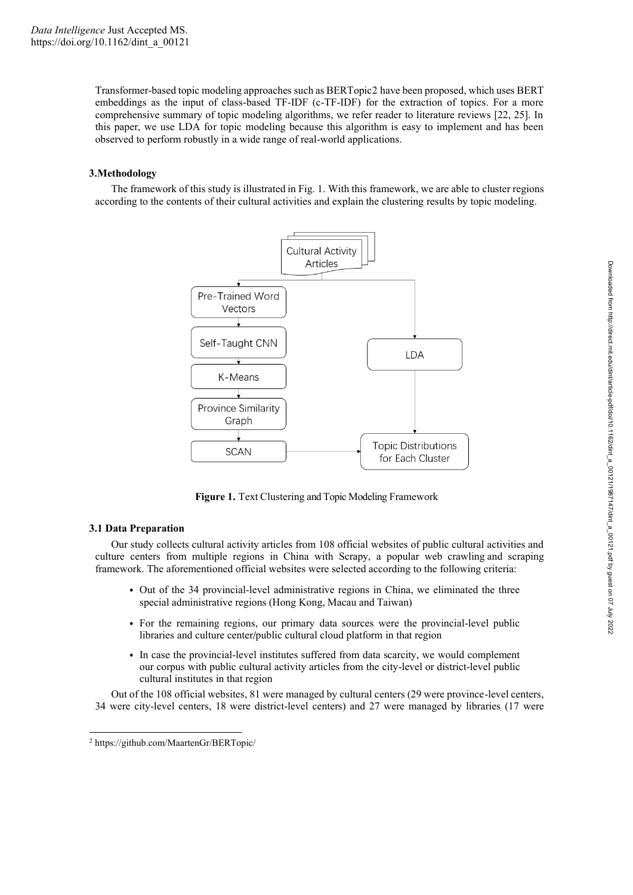Transformer-based topic modeling approaches such as BERTopic2 have been proposed, which uses BERT embeddings as the input of class-based TF-IDF (c-TF-IDF) for the extraction of topics. For a more comprehensive summary of topic modeling algorithms, we refer reader to literature reviews [22, 25]. In this paper, we use LDA for topic modeling because this algorithm is easy to implement and has been observed to perform robustly in a wide range of real-world applications.

# **3.Methodology**

The framework of this study is illustrated in Fig. 1. With this framework, we are able to cluster regions according to the contents of their cultural activities and explain the clustering results by topic modeling.



**Figure 1.** Text Clustering and Topic Modeling Framework

## **3.1 Data Preparation**

Our study collects cultural activity articles from 108 official websites of public cultural activities and culture centers from multiple regions in China with Scrapy, a popular web crawling and scraping framework. The aforementioned official websites were selected according to the following criteria:

- Out of the 34 provincial-level administrative regions in China, we eliminated the three special administrative regions (Hong Kong, Macau and Taiwan)
- For the remaining regions, our primary data sources were the provincial-level public libraries and culture center/public cultural cloud platform in that region
- In case the provincial-level institutes suffered from data scarcity, we would complement our corpus with public cultural activity articles from the city-level or district-level public cultural institutes in that region

Out of the 108 official websites, 81 were managed by cultural centers (29 were province-level centers, 34 were city-level centers, 18 were district-level centers) and 27 were managed by libraries (17 were

<sup>2</sup> https://github.com/MaartenGr/BERTopic/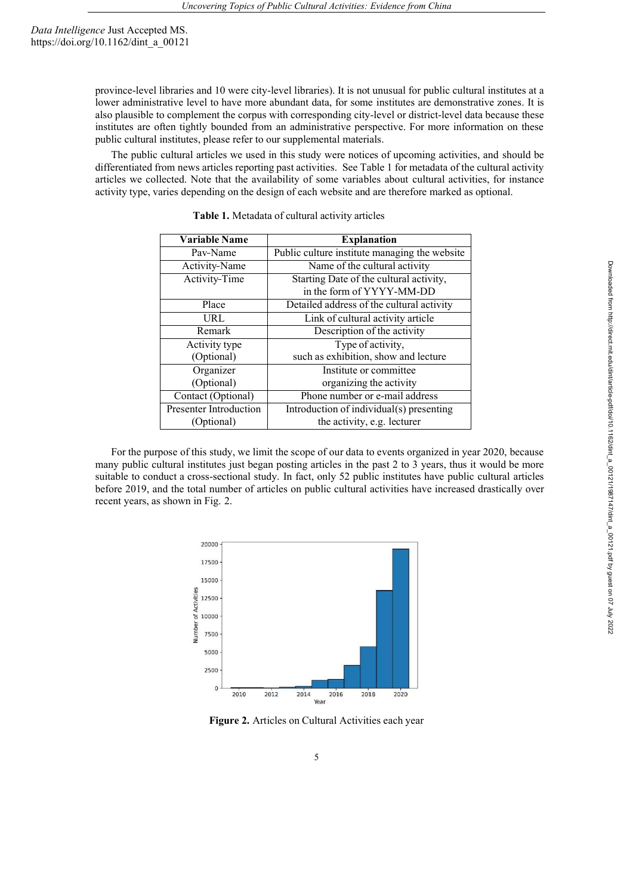province-level libraries and 10 were city-level libraries). It is not unusual for public cultural institutes at a lower administrative level to have more abundant data, for some institutes are demonstrative zones. It is also plausible to complement the corpus with corresponding city-level or district-level data because these institutes are often tightly bounded from an administrative perspective. For more information on these public cultural institutes, please refer to our supplemental materials.

The public cultural articles we used in this study were notices of upcoming activities, and should be differentiated from news articles reporting past activities. See Table 1 for metadata of the cultural activity articles we collected. Note that the availability of some variables about cultural activities, for instance activity type, varies depending on the design of each website and are therefore marked as optional.

| <b>Variable Name</b>          | <b>Explanation</b>                            |
|-------------------------------|-----------------------------------------------|
| Pav-Name                      | Public culture institute managing the website |
| Activity-Name                 | Name of the cultural activity                 |
| Activity-Time                 | Starting Date of the cultural activity,       |
|                               | in the form of YYYY-MM-DD                     |
| Place                         | Detailed address of the cultural activity     |
| URL                           | Link of cultural activity article             |
| Remark                        | Description of the activity                   |
| Activity type                 | Type of activity,                             |
| (Optional)                    | such as exhibition, show and lecture          |
| Organizer                     | Institute or committee                        |
| (Optional)                    | organizing the activity                       |
| Contact (Optional)            | Phone number or e-mail address                |
| <b>Presenter Introduction</b> | Introduction of individual(s) presenting      |
| (Optional)                    | the activity, e.g. lecturer                   |

**Table 1.** Metadata of cultural activity articles

For the purpose of this study, we limit the scope of our data to events organized in year 2020, because many public cultural institutes just began posting articles in the past 2 to 3 years, thus it would be more suitable to conduct a cross-sectional study. In fact, only 52 public institutes have public cultural articles before 2019, and the total number of articles on public cultural activities have increased drastically over recent years, as shown in Fig. 2.



**Figure 2.** Articles on Cultural Activities each year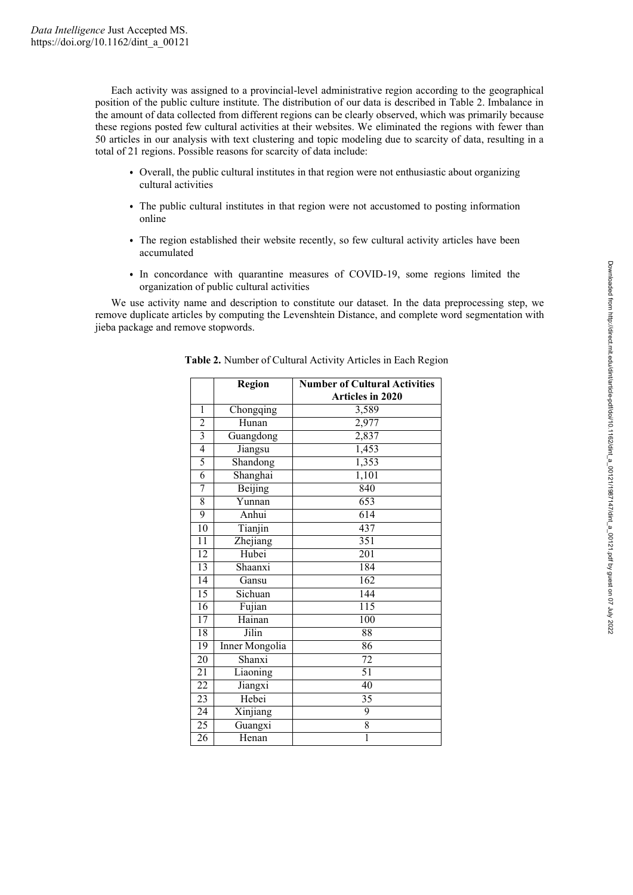Each activity was assigned to a provincial-level administrative region according to the geographical position of the public culture institute. The distribution of our data is described in Table 2. Imbalance in the amount of data collected from different regions can be clearly observed, which was primarily because these regions posted few cultural activities at their websites. We eliminated the regions with fewer than 50 articles in our analysis with text clustering and topic modeling due to scarcity of data, resulting in a total of 21 regions. Possible reasons for scarcity of data include:

- Overall, the public cultural institutes in that region were not enthusiastic about organizing cultural activities
- The public cultural institutes in that region were not accustomed to posting information online
- The region established their website recently, so few cultural activity articles have been accumulated
- In concordance with quarantine measures of COVID-19, some regions limited the organization of public cultural activities

We use activity name and description to constitute our dataset. In the data preprocessing step, we remove duplicate articles by computing the Levenshtein Distance, and complete word segmentation with jieba package and remove stopwords.

|                 | Region                | <b>Number of Cultural Activities</b> |
|-----------------|-----------------------|--------------------------------------|
|                 |                       | <b>Articles in 2020</b>              |
| 1               | Chongqing             | 3,589                                |
| $\overline{2}$  | Hunan                 | 2,977                                |
| $\overline{3}$  | Guangdong             | 2,837                                |
| 4               | Jiangsu               | 1,453                                |
| 5               | Shandong              | 1,353                                |
| $\overline{6}$  | Shanghai              | 1,101                                |
| 7               | Beijing               | 840                                  |
| 8               | Yunnan                | 653                                  |
| $\overline{9}$  | Anhui                 | 614                                  |
| 10              | Tianjin               | 437                                  |
| 11              | Zhejiang              | 351                                  |
| $\overline{12}$ | Hubei                 | 201                                  |
| 13              | Shaanxi               | 184                                  |
| 14              | Gansu                 | 162                                  |
| $\overline{15}$ | Sichuan               | 144                                  |
| 16              | Fujian                | $\overline{115}$                     |
| $\overline{17}$ | Hainan                | 100                                  |
| 18              | Jilin                 | 88                                   |
| $\overline{19}$ | <b>Inner Mongolia</b> | 86                                   |
| 20              | Shanxi                | 72                                   |
| $\overline{21}$ | Liaoning              | 51                                   |
| $\overline{22}$ | Jiangxi               | 40                                   |
| $\overline{23}$ | Hebei                 | $\overline{35}$                      |
| $\overline{24}$ | Xinjiang              | $\overline{9}$                       |
| $\overline{25}$ | Guangxi               | 8                                    |
| $\overline{26}$ | Henan                 | $\overline{1}$                       |

**Table 2.** Number of Cultural Activity Articles in Each Region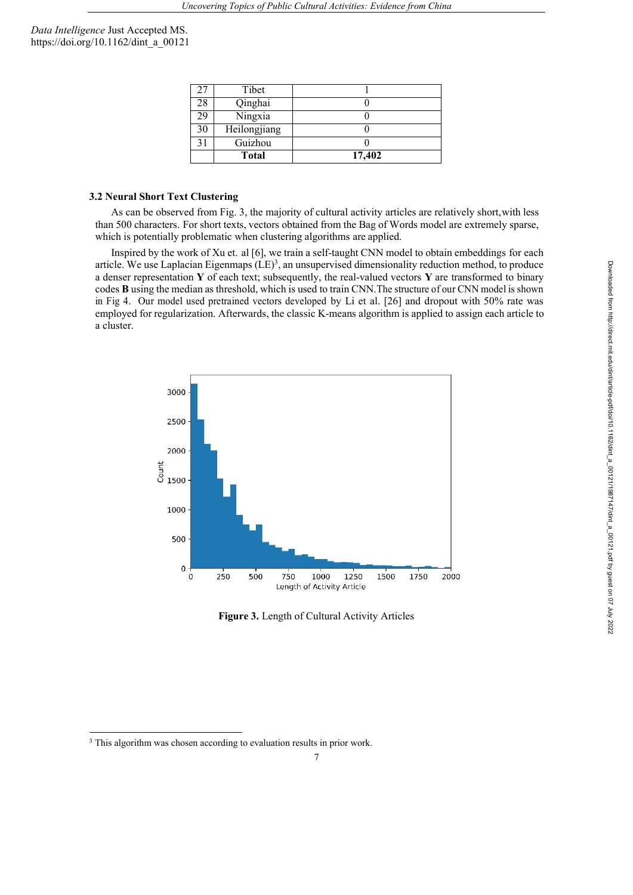| 27 | Tibet        |        |
|----|--------------|--------|
| 28 | Qinghai      |        |
| 29 | Ningxia      |        |
| 30 | Heilongjiang |        |
| 31 | Guizhou      |        |
|    | <b>Total</b> | 17,402 |

### **3.2 Neural Short Text Clustering**

As can be observed from Fig. 3, the majority of cultural activity articles are relatively short,with less than 500 characters. For short texts, vectors obtained from the Bag of Words model are extremely sparse, which is potentially problematic when clustering algorithms are applied.

Inspired by the work of Xu et. al [6], we train a self-taught CNN model to obtain embeddings for each article. We use Laplacian Eigenmaps  $(LE)^3$ , an unsupervised dimensionality reduction method, to produce a denser representation **Y** of each text; subsequently, the real-valued vectors **Y** are transformed to binary codes **B** using the median as threshold, which is used to train CNN.The structure of our CNN model is shown in Fig 4. Our model used pretrained vectors developed by Li et al. [26] and dropout with 50% rate was employed for regularization. Afterwards, the classic K-means algorithm is applied to assign each article to a cluster.



**Figure 3.** Length of Cultural Activity Articles

<sup>&</sup>lt;sup>3</sup> This algorithm was chosen according to evaluation results in prior work.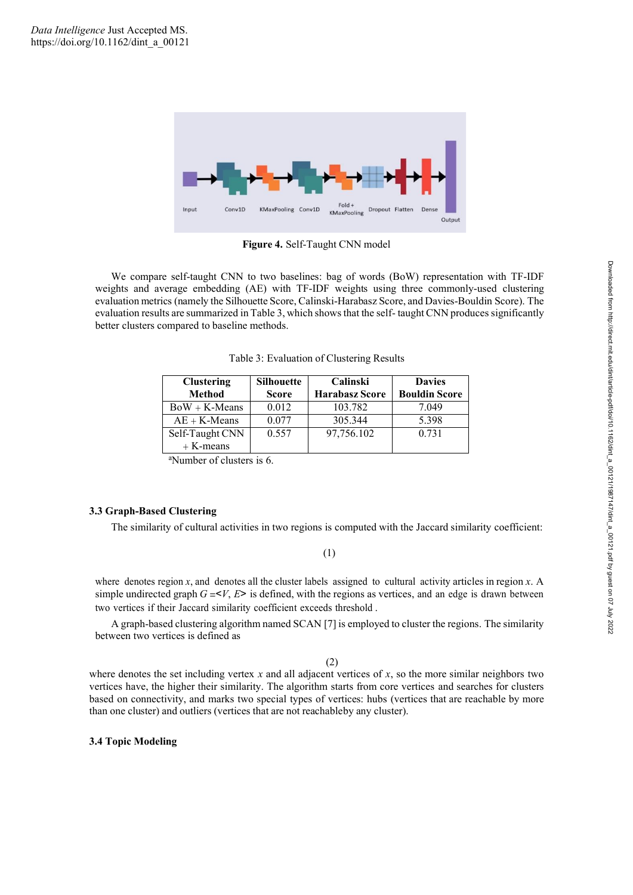

**Figure 4.** Self-Taught CNN model

We compare self-taught CNN to two baselines: bag of words (BoW) representation with TF-IDF weights and average embedding (AE) with TF-IDF weights using three commonly-used clustering evaluation metrics (namely the Silhouette Score, Calinski-Harabasz Score, and Davies-Bouldin Score). The evaluation results are summarized in Table 3, which shows that the self-taught CNN produces significantly better clusters compared to baseline methods.

Table 3: Evaluation of Clustering Results

| <b>Clustering</b><br>Method | <b>Silhouette</b><br><b>Score</b> | Calinski<br><b>Harabasz Score</b> | <b>Davies</b><br><b>Bouldin Score</b> |
|-----------------------------|-----------------------------------|-----------------------------------|---------------------------------------|
| $BoW + K-Means$             | 0.012                             | 103.782                           | 7.049                                 |
| $AE + K$ -Means             | 0.077                             | 305.344                           | 5.398                                 |
| Self-Taught CNN             | 0.557                             | 97,756.102                        | 0.731                                 |
| $+$ K-means                 |                                   |                                   |                                       |

<sup>a</sup>Number of clusters is 6.

#### **3.3 Graph-Based Clustering**

The similarity of cultural activities in two regions is computed with the Jaccard similarity coefficient:

# (1)

where denotes region *x*, and denotes all the cluster labels assigned to cultural activity articles in region *x*. A simple undirected graph  $G = V$ ,  $E$ > is defined, with the regions as vertices, and an edge is drawn between two vertices if their Jaccard similarity coefficient exceeds threshold .

A graph-based clustering algorithm named SCAN [7] is employed to cluster the regions. The similarity between two vertices is defined as

(2)

where denotes the set including vertex *x* and all adjacent vertices of *x*, so the more similar neighbors two vertices have, the higher their similarity. The algorithm starts from core vertices and searches for clusters based on connectivity, and marks two special types of vertices: hubs (vertices that are reachable by more than one cluster) and outliers (vertices that are not reachableby any cluster).

#### **3.4 Topic Modeling**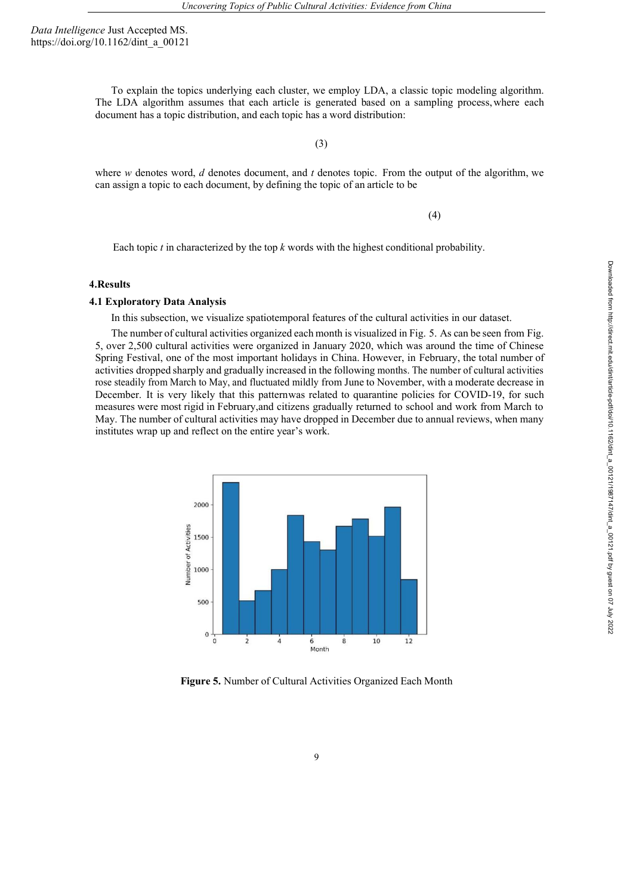> To explain the topics underlying each cluster, we employ LDA, a classic topic modeling algorithm. The LDA algorithm assumes that each article is generated based on a sampling process,where each document has a topic distribution, and each topic has a word distribution:

> > (3)

where *w* denotes word, *d* denotes document, and *t* denotes topic. From the output of the algorithm, we can assign a topic to each document, by defining the topic of an article to be

(4)

Each topic  $t$  in characterized by the top  $k$  words with the highest conditional probability.

## **4.Results**

### **4.1 Exploratory Data Analysis**

In this subsection, we visualize spatiotemporal features of the cultural activities in our dataset.

The number of cultural activities organized each month is visualized in Fig. 5. As can be seen from Fig. 5, over 2,500 cultural activities were organized in January 2020, which was around the time of Chinese Spring Festival, one of the most important holidays in China. However, in February, the total number of activities dropped sharply and gradually increased in the following months. The number of cultural activities rose steadily from March to May, and fluctuated mildly from June to November, with a moderate decrease in December. It is very likely that this patternwas related to quarantine policies for COVID-19, for such measures were most rigid in February,and citizens gradually returned to school and work from March to May. The number of cultural activities may have dropped in December due to annual reviews, when many institutes wrap up and reflect on the entire year's work.



**Figure 5.** Number of Cultural Activities Organized Each Month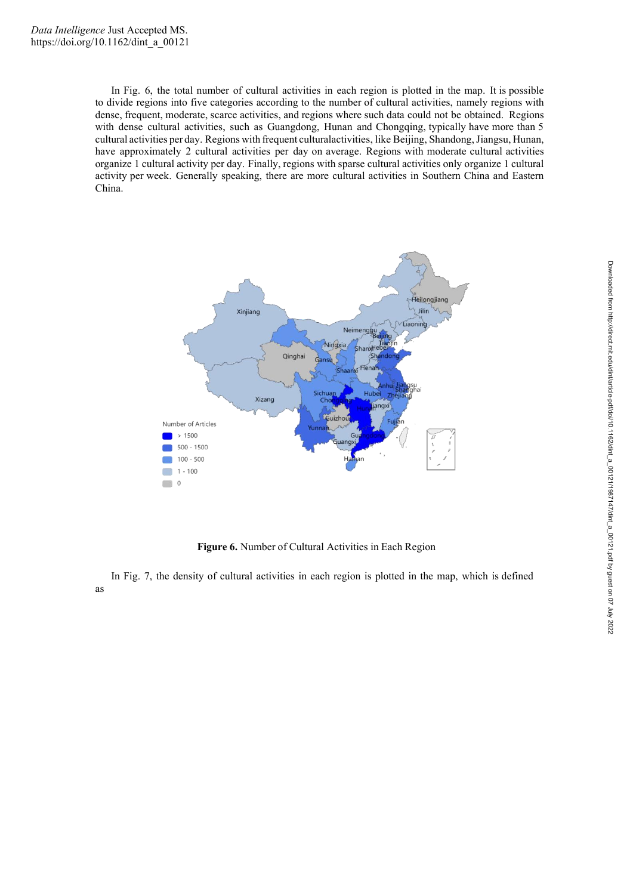In Fig. 6, the total number of cultural activities in each region is plotted in the map. It is possible to divide regions into five categories according to the number of cultural activities, namely regions with dense, frequent, moderate, scarce activities, and regions where such data could not be obtained. Regions with dense cultural activities, such as Guangdong, Hunan and Chongqing, typically have more than 5 cultural activities per day. Regions with frequent culturalactivities, like Beijing, Shandong, Jiangsu, Hunan, have approximately 2 cultural activities per day on average. Regions with moderate cultural activities organize 1 cultural activity per day. Finally, regions with sparse cultural activities only organize 1 cultural activity per week. Generally speaking, there are more cultural activities in Southern China and Eastern China.



**Figure 6.** Number of Cultural Activities in Each Region

In Fig. 7, the density of cultural activities in each region is plotted in the map, which is defined as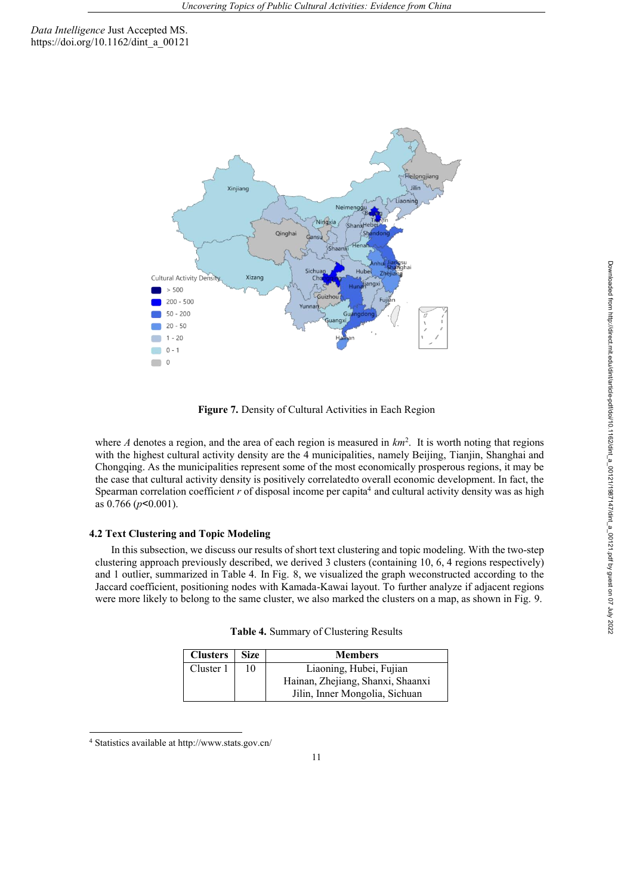

**Figure 7.** Density of Cultural Activities in Each Region

where  $A$  denotes a region, and the area of each region is measured in  $km<sup>2</sup>$ . It is worth noting that regions with the highest cultural activity density are the 4 municipalities, namely Beijing, Tianjin, Shanghai and Chongqing. As the municipalities represent some of the most economically prosperous regions, it may be the case that cultural activity density is positively correlatedto overall economic development. In fact, the Spearman correlation coefficient  $r$  of disposal income per capita<sup>4</sup> and cultural activity density was as high as 0.766 (*p*<0.001).

## **4.2 Text Clustering and Topic Modeling**

In this subsection, we discuss our results of short text clustering and topic modeling. With the two-step clustering approach previously described, we derived 3 clusters (containing 10, 6, 4 regions respectively) and 1 outlier, summarized in Table 4. In Fig. 8, we visualized the graph weconstructed according to the Jaccard coefficient, positioning nodes with Kamada-Kawai layout. To further analyze if adjacent regions were more likely to belong to the same cluster, we also marked the clusters on a map, as shown in Fig. 9.

|  |  | Table 4. Summary of Clustering Results |  |
|--|--|----------------------------------------|--|
|--|--|----------------------------------------|--|

| <b>Clusters</b> Size |    | <b>Members</b>                    |
|----------------------|----|-----------------------------------|
| Cluster 1            | 10 | Liaoning, Hubei, Fujian           |
|                      |    | Hainan, Zhejiang, Shanxi, Shaanxi |
|                      |    | Jilin, Inner Mongolia, Sichuan    |

<sup>4</sup> Statistics available at http://www.stats.gov.cn/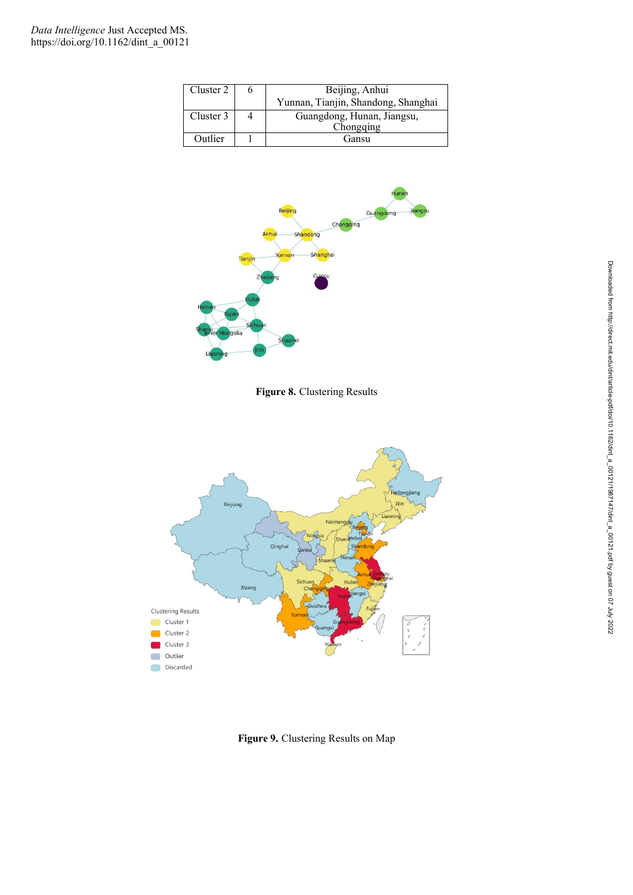| Cluster 2 | Beijing, Anhui                      |
|-----------|-------------------------------------|
|           | Yunnan, Tianjin, Shandong, Shanghai |
| Cluster 3 | Guangdong, Hunan, Jiangsu,          |
|           | Chongqing                           |
| Outlier   | Gansu                               |



**Figure 8.** Clustering Results



**Figure 9.** Clustering Results on Map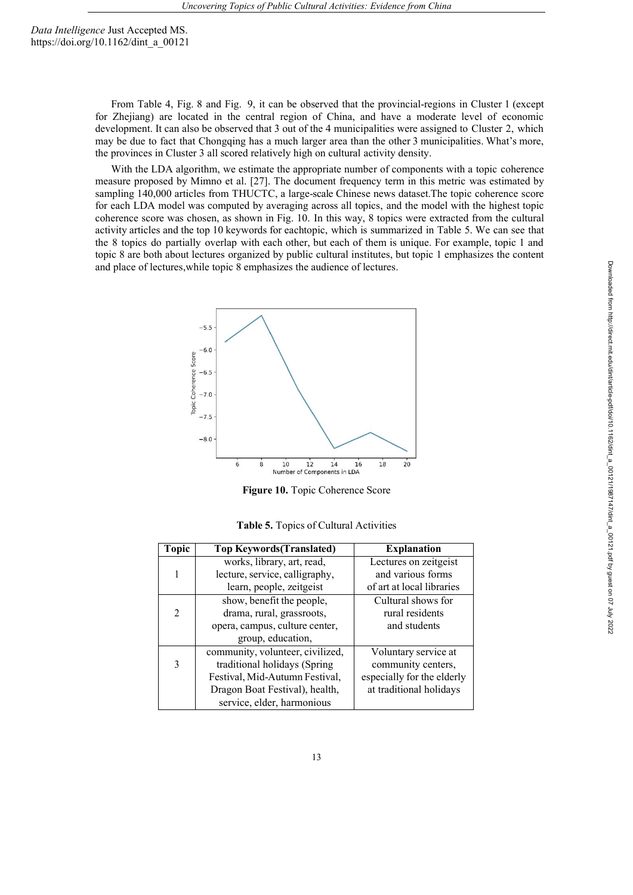> From Table 4, Fig. 8 and Fig. 9, it can be observed that the provincial-regions in Cluster 1 (except for Zhejiang) are located in the central region of China, and have a moderate level of economic development. It can also be observed that 3 out of the 4 municipalities were assigned to Cluster 2, which may be due to fact that Chongqing has a much larger area than the other 3 municipalities. What's more, the provinces in Cluster 3 all scored relatively high on cultural activity density.

> With the LDA algorithm, we estimate the appropriate number of components with a topic coherence measure proposed by Mimno et al. [27]. The document frequency term in this metric was estimated by sampling 140,000 articles from THUCTC, a large-scale Chinese news dataset.The topic coherence score for each LDA model was computed by averaging across all topics, and the model with the highest topic coherence score was chosen, as shown in Fig. 10. In this way, 8 topics were extracted from the cultural activity articles and the top 10 keywords for eachtopic, which is summarized in Table 5. We can see that the 8 topics do partially overlap with each other, but each of them is unique. For example, topic 1 and topic 8 are both about lectures organized by public cultural institutes, but topic 1 emphasizes the content and place of lectures,while topic 8 emphasizes the audience of lectures.



**Figure 10.** Topic Coherence Score

|  |  | Table 5. Topics of Cultural Activities |  |
|--|--|----------------------------------------|--|
|--|--|----------------------------------------|--|

| <b>Topic</b>   | <b>Top Keywords (Translated)</b> | <b>Explanation</b>         |
|----------------|----------------------------------|----------------------------|
|                | works, library, art, read,       | Lectures on zeitgeist      |
|                | lecture, service, calligraphy,   | and various forms          |
|                | learn, people, zeitgeist         | of art at local libraries  |
|                | show, benefit the people,        | Cultural shows for         |
| $\overline{2}$ | drama, rural, grassroots,        | rural residents            |
|                | opera, campus, culture center,   | and students               |
|                | group, education,                |                            |
|                | community, volunteer, civilized, | Voluntary service at       |
| 3              | traditional holidays (Spring     | community centers,         |
|                | Festival, Mid-Autumn Festival,   | especially for the elderly |
|                | Dragon Boat Festival), health,   | at traditional holidays    |
|                | service, elder, harmonious       |                            |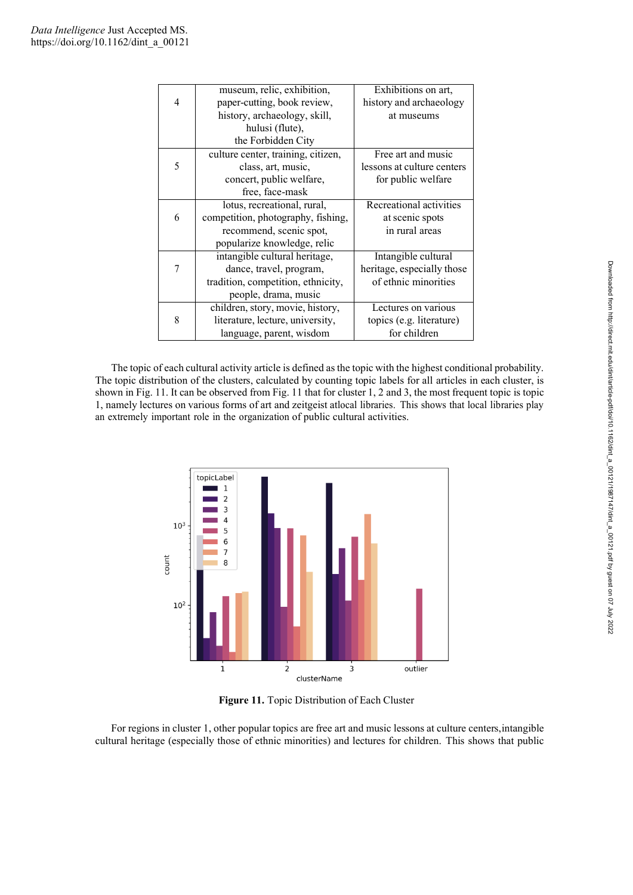|   | museum, relic, exhibition,         | Exhibitions on art,        |
|---|------------------------------------|----------------------------|
| 4 | paper-cutting, book review,        | history and archaeology    |
|   | history, archaeology, skill,       | at museums                 |
|   | hulusi (flute),                    |                            |
|   | the Forbidden City                 |                            |
|   | culture center, training, citizen, | Free art and music         |
| 5 | class, art, music,                 | lessons at culture centers |
|   | concert, public welfare,           | for public welfare         |
|   | free, face-mask                    |                            |
|   | lotus, recreational, rural,        | Recreational activities    |
| 6 | competition, photography, fishing, | at scenic spots            |
|   | recommend, scenic spot,            | in rural areas             |
|   | popularize knowledge, relic        |                            |
|   | intangible cultural heritage,      | Intangible cultural        |
|   | dance, travel, program,            | heritage, especially those |
|   | tradition, competition, ethnicity, | of ethnic minorities       |
|   | people, drama, music               |                            |
|   | children, story, movie, history,   | Lectures on various        |
| 8 | literature, lecture, university,   | topics (e.g. literature)   |
|   | language, parent, wisdom           | for children               |

The topic of each cultural activity article is defined as the topic with the highest conditional probability. The topic distribution of the clusters, calculated by counting topic labels for all articles in each cluster, is shown in Fig. 11. It can be observed from Fig. 11 that for cluster 1, 2 and 3, the most frequent topic is topic 1, namely lectures on various forms of art and zeitgeist atlocal libraries. This shows that local libraries play an extremely important role in the organization of public cultural activities.



**Figure 11.** Topic Distribution of Each Cluster

For regions in cluster 1, other popular topics are free art and music lessons at culture centers,intangible cultural heritage (especially those of ethnic minorities) and lectures for children. This shows that public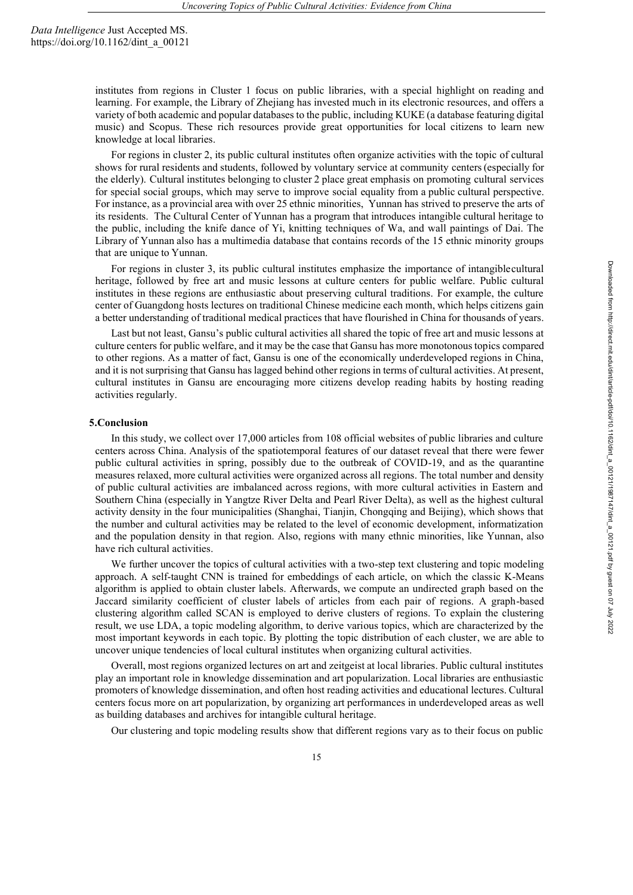> institutes from regions in Cluster 1 focus on public libraries, with a special highlight on reading and learning. For example, the Library of Zhejiang has invested much in its electronic resources, and offers a variety of both academic and popular databases to the public, including KUKE (a database featuring digital music) and Scopus. These rich resources provide great opportunities for local citizens to learn new knowledge at local libraries.

> For regions in cluster 2, its public cultural institutes often organize activities with the topic of cultural shows for rural residents and students, followed by voluntary service at community centers(especially for the elderly). Cultural institutes belonging to cluster 2 place great emphasis on promoting cultural services for special social groups, which may serve to improve social equality from a public cultural perspective. For instance, as a provincial area with over 25 ethnic minorities, Yunnan has strived to preserve the arts of its residents. The Cultural Center of Yunnan has a program that introduces intangible cultural heritage to the public, including the knife dance of Yi, knitting techniques of Wa, and wall paintings of Dai. The Library of Yunnan also has a multimedia database that contains records of the 15 ethnic minority groups that are unique to Yunnan.

> For regions in cluster 3, its public cultural institutes emphasize the importance of intangiblecultural heritage, followed by free art and music lessons at culture centers for public welfare. Public cultural institutes in these regions are enthusiastic about preserving cultural traditions. For example, the culture center of Guangdong hosts lectures on traditional Chinese medicine each month, which helps citizens gain a better understanding of traditional medical practices that have flourished in China for thousands of years.

> Last but not least, Gansu's public cultural activities all shared the topic of free art and music lessons at culture centers for public welfare, and it may be the case that Gansu has more monotonous topics compared to other regions. As a matter of fact, Gansu is one of the economically underdeveloped regions in China, and it is not surprising that Gansu has lagged behind other regions in terms of cultural activities. At present, cultural institutes in Gansu are encouraging more citizens develop reading habits by hosting reading activities regularly.

#### **5.Conclusion**

In this study, we collect over 17,000 articles from 108 official websites of public libraries and culture centers across China. Analysis of the spatiotemporal features of our dataset reveal that there were fewer public cultural activities in spring, possibly due to the outbreak of COVID-19, and as the quarantine measures relaxed, more cultural activities were organized across all regions. The total number and density of public cultural activities are imbalanced across regions, with more cultural activities in Eastern and Southern China (especially in Yangtze River Delta and Pearl River Delta), as well as the highest cultural activity density in the four municipalities (Shanghai, Tianjin, Chongqing and Beijing), which shows that the number and cultural activities may be related to the level of economic development, informatization and the population density in that region. Also, regions with many ethnic minorities, like Yunnan, also have rich cultural activities.

We further uncover the topics of cultural activities with a two-step text clustering and topic modeling approach. A self-taught CNN is trained for embeddings of each article, on which the classic K-Means algorithm is applied to obtain cluster labels. Afterwards, we compute an undirected graph based on the Jaccard similarity coefficient of cluster labels of articles from each pair of regions. A graph-based clustering algorithm called SCAN is employed to derive clusters of regions. To explain the clustering result, we use LDA, a topic modeling algorithm, to derive various topics, which are characterized by the most important keywords in each topic. By plotting the topic distribution of each cluster, we are able to uncover unique tendencies of local cultural institutes when organizing cultural activities.

Overall, most regions organized lectures on art and zeitgeist at local libraries. Public cultural institutes play an important role in knowledge dissemination and art popularization. Local libraries are enthusiastic promoters of knowledge dissemination, and often host reading activities and educational lectures. Cultural centers focus more on art popularization, by organizing art performances in underdeveloped areas as well as building databases and archives for intangible cultural heritage.

Our clustering and topic modeling results show that different regions vary as to their focus on public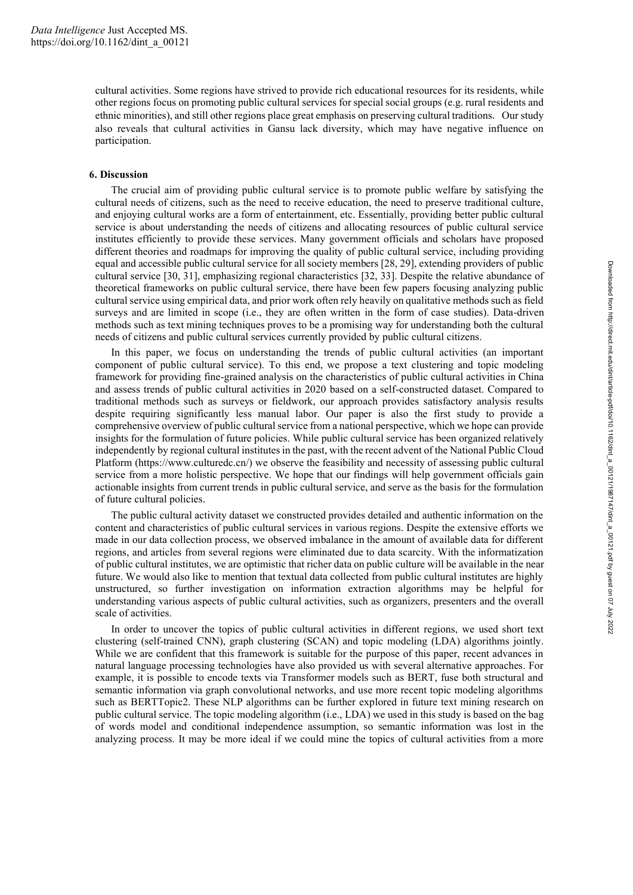cultural activities. Some regions have strived to provide rich educational resources for its residents, while other regions focus on promoting public cultural services for special social groups (e.g. rural residents and ethnic minorities), and still other regions place great emphasis on preserving cultural traditions. Our study also reveals that cultural activities in Gansu lack diversity, which may have negative influence on participation.

## **6. Discussion**

The crucial aim of providing public cultural service is to promote public welfare by satisfying the cultural needs of citizens, such as the need to receive education, the need to preserve traditional culture, and enjoying cultural works are a form of entertainment, etc. Essentially, providing better public cultural service is about understanding the needs of citizens and allocating resources of public cultural service institutes efficiently to provide these services. Many government officials and scholars have proposed different theories and roadmaps for improving the quality of public cultural service, including providing equal and accessible public cultural service for all society members [28, 29], extending providers of public cultural service [30, 31], emphasizing regional characteristics [32, 33]. Despite the relative abundance of theoretical frameworks on public cultural service, there have been few papers focusing analyzing public cultural service using empirical data, and prior work often rely heavily on qualitative methods such as field surveys and are limited in scope (i.e., they are often written in the form of case studies). Data-driven methods such as text mining techniques proves to be a promising way for understanding both the cultural needs of citizens and public cultural services currently provided by public cultural citizens.

In this paper, we focus on understanding the trends of public cultural activities (an important component of public cultural service). To this end, we propose a text clustering and topic modeling framework for providing fine-grained analysis on the characteristics of public cultural activities in China and assess trends of public cultural activities in 2020 based on a self-constructed dataset. Compared to traditional methods such as surveys or fieldwork, our approach provides satisfactory analysis results despite requiring significantly less manual labor. Our paper is also the first study to provide a comprehensive overview of public cultural service from a national perspective, which we hope can provide insights for the formulation of future policies. While public cultural service has been organized relatively independently by regional cultural institutes in the past, with the recent advent of the National Public Cloud Platform (https://www.culturedc.cn/) we observe the feasibility and necessity of assessing public cultural service from a more holistic perspective. We hope that our findings will help government officials gain actionable insights from current trends in public cultural service, and serve as the basis for the formulation of future cultural policies.

The public cultural activity dataset we constructed provides detailed and authentic information on the content and characteristics of public cultural services in various regions. Despite the extensive efforts we made in our data collection process, we observed imbalance in the amount of available data for different regions, and articles from several regions were eliminated due to data scarcity. With the informatization of public cultural institutes, we are optimistic that richer data on public culture will be available in the near future. We would also like to mention that textual data collected from public cultural institutes are highly unstructured, so further investigation on information extraction algorithms may be helpful for understanding various aspects of public cultural activities, such as organizers, presenters and the overall scale of activities.

In order to uncover the topics of public cultural activities in different regions, we used short text clustering (self-trained CNN), graph clustering (SCAN) and topic modeling (LDA) algorithms jointly. While we are confident that this framework is suitable for the purpose of this paper, recent advances in natural language processing technologies have also provided us with several alternative approaches. For example, it is possible to encode texts via Transformer models such as BERT, fuse both structural and semantic information via graph convolutional networks, and use more recent topic modeling algorithms such as BERTTopic2. These NLP algorithms can be further explored in future text mining research on public cultural service. The topic modeling algorithm (i.e., LDA) we used in this study is based on the bag of words model and conditional independence assumption, so semantic information was lost in the analyzing process. It may be more ideal if we could mine the topics of cultural activities from a more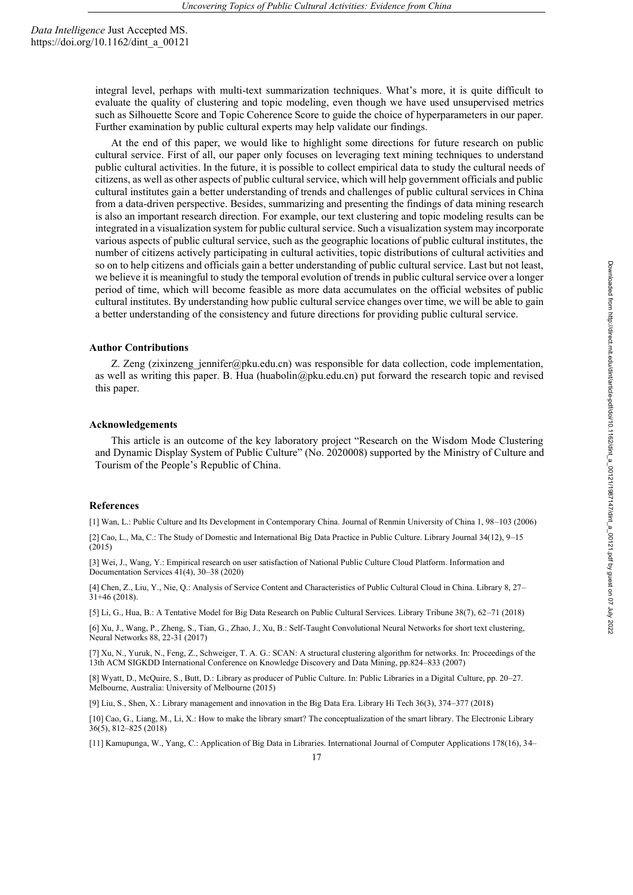> integral level, perhaps with multi-text summarization techniques. What's more, it is quite difficult to evaluate the quality of clustering and topic modeling, even though we have used unsupervised metrics such as Silhouette Score and Topic Coherence Score to guide the choice of hyperparameters in our paper. Further examination by public cultural experts may help validate our findings.

> At the end of this paper, we would like to highlight some directions for future research on public cultural service. First of all, our paper only focuses on leveraging text mining techniques to understand public cultural activities. In the future, it is possible to collect empirical data to study the cultural needs of citizens, as well as other aspects of public cultural service, which will help government officials and public cultural institutes gain a better understanding of trends and challenges of public cultural services in China from a data-driven perspective. Besides, summarizing and presenting the findings of data mining research is also an important research direction. For example, our text clustering and topic modeling results can be integrated in a visualization system for public cultural service. Such a visualization system may incorporate various aspects of public cultural service, such as the geographic locations of public cultural institutes, the number of citizens actively participating in cultural activities, topic distributions of cultural activities and so on to help citizens and officials gain a better understanding of public cultural service. Last but not least, we believe it is meaningful to study the temporal evolution of trends in public cultural service over a longer period of time, which will become feasible as more data accumulates on the official websites of public cultural institutes. By understanding how public cultural service changes over time, we will be able to gain a better understanding of the consistency and future directions for providing public cultural service.

#### **Author Contributions**

Z. Zeng (zixinzeng\_jennifer@pku.edu.cn) was responsible for data collection, code implementation, as well as writing this paper. B. Hua (huabolin@pku.edu.cn) put forward the research topic and revised this paper.

#### **Acknowledgements**

This article is an outcome of the key laboratory project "Research on the Wisdom Mode Clustering and Dynamic Display System of Public Culture" (No. 2020008) supported by the Ministry of Culture and Tourism of the People's Republic of China.

#### **References**

[1] Wan, L.: Public Culture and Its Development in Contemporary China. Journal of Renmin University of China 1, 98–103 (2006)

[2] Cao, L., Ma, C.: The Study of Domestic and International Big Data Practice in Public Culture. Library Journal 34(12), 9–15  $(2015)$ 

[3] Wei, J., Wang, Y.: Empirical research on user satisfaction of National Public Culture Cloud Platform. Information and Documentation Services 41(4), 30–38 (2020)

[4] Chen, Z., Liu, Y., Nie, Q.: Analysis of Service Content and Characteristics of Public Cultural Cloud in China. Library 8, 27–  $31+46$  (2018).

[5] Li, G., Hua, B.: A Tentative Model for Big Data Research on Public Cultural Services. Library Tribune 38(7), 62–71 (2018)

[6] Xu, J., Wang, P., Zheng, S., Tian, G., Zhao, J., Xu, B.: Self-Taught Convolutional Neural Networks for short text clustering, Neural Networks 88, 22-31 (2017)

[7] Xu, N., Yuruk, N., Feng, Z., Schweiger, T. A. G.: SCAN: A structural clustering algorithm for networks. In: Proceedings of the 13th ACM SIGKDD International Conference on Knowledge Discovery and Data Mining, pp.824–833 (2007)

[8] Wyatt, D., McQuire, S., Butt, D.: Library as producer of Public Culture. In: Public Libraries in a Digital Culture, pp. 20–27. Melbourne, Australia: University of Melbourne (2015)

[9] Liu, S., Shen, X.: Library management and innovation in the Big Data Era. Library Hi Tech 36(3), 374–377 (2018)

[10] Cao, G., Liang, M., Li, X.: How to make the library smart? The conceptualization of the smart library. The Electronic Library 36(5), 812–825 (2018)

[11] Kamupunga, W., Yang, C.: Application of Big Data in Libraries. International Journal of Computer Applications 178(16), 34–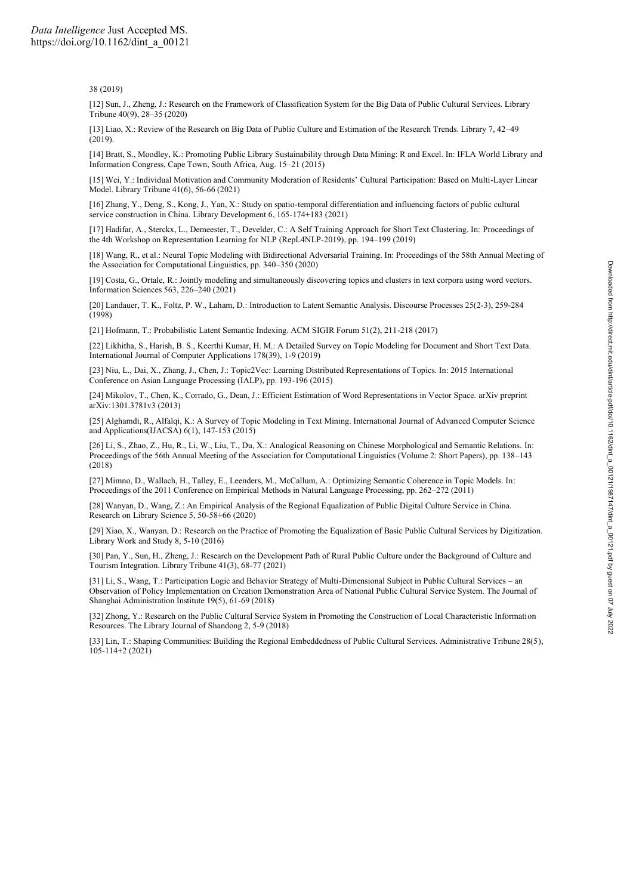#### 38 (2019)

[12] Sun, J., Zheng, J.: Research on the Framework of Classification System for the Big Data of Public Cultural Services. Library Tribune 40(9), 28–35 (2020)

[13] Liao, X.: Review of the Research on Big Data of Public Culture and Estimation of the Research Trends. Library 7, 42–49  $(2019)$ 

[14] Bratt, S., Moodley, K.: Promoting Public Library Sustainability through Data Mining: R and Excel. In: IFLA World Library and Information Congress, Cape Town, South Africa, Aug. 15–21 (2015)

[15] Wei, Y.: Individual Motivation and Community Moderation of Residents' Cultural Participation: Based on Multi-Layer Linear Model. Library Tribune 41(6), 56-66 (2021)

[16] Zhang, Y., Deng, S., Kong, J., Yan, X.: Study on spatio-temporal differentiation and influencing factors of public cultural service construction in China. Library Development 6, 165-174+183 (2021)

[17] Hadifar, A., Sterckx, L., Demeester, T., Develder, C.: A Self Training Approach for Short Text Clustering. In: Proceedings of the 4th Workshop on Representation Learning for NLP (RepL4NLP-2019), pp. 194–199 (2019)

[18] Wang, R., et al.: Neural Topic Modeling with Bidirectional Adversarial Training. In: Proceedings of the 58th Annual Meeting of the Association for Computational Linguistics, pp. 340–350 (2020)

[19] Costa, G., Ortale, R.: Jointly modeling and simultaneously discovering topics and clusters in text corpora using word vectors. Information Sciences 563, 226–240 (2021)

[20] Landauer, T. K., Foltz, P. W., Laham, D.: Introduction to Latent Semantic Analysis. Discourse Processes 25(2-3), 259-284 (1998)

[21] Hofmann, T.: Probabilistic Latent Semantic Indexing. ACM SIGIR Forum 51(2), 211-218 (2017)

[22] Likhitha, S., Harish, B. S., Keerthi Kumar, H. M.: A Detailed Survey on Topic Modeling for Document and Short Text Data. International Journal of Computer Applications 178(39), 1-9 (2019)

[23] Niu, L., Dai, X., Zhang, J., Chen, J.: Topic2Vec: Learning Distributed Representations of Topics. In: 2015 International Conference on Asian Language Processing (IALP), pp. 193-196 (2015)

[24] Mikolov, T., Chen, K., Corrado, G., Dean, J.: Efficient Estimation of Word Representations in Vector Space. arXiv preprint arXiv:1301.3781v3 (2013)

[25] Alghamdi, R., Alfalqi, K.: A Survey of Topic Modeling in Text Mining. International Journal of Advanced Computer Science and Applications(IJACSA) 6(1), 147-153 (2015)

[26] Li, S., Zhao, Z., Hu, R., Li, W., Liu, T., Du, X.: Analogical Reasoning on Chinese Morphological and Semantic Relations. In: Proceedings of the 56th Annual Meeting of the Association for Computational Linguistics (Volume 2: Short Papers), pp. 138–143 (2018)

[27] Mimno, D., Wallach, H., Talley, E., Leenders, M., McCallum, A.: Optimizing Semantic Coherence in Topic Models. In: Proceedings of the 2011 Conference on Empirical Methods in Natural Language Processing, pp. 262–272 (2011)

[28] Wanyan, D., Wang, Z.: An Empirical Analysis of the Regional Equalization of Public Digital Culture Service in China. Research on Library Science 5, 50-58+66 (2020)

[29] Xiao, X., Wanyan, D.: Research on the Practice of Promoting the Equalization of Basic Public Cultural Services by Digitization. Library Work and Study 8, 5-10 (2016)

[30] Pan, Y., Sun, H., Zheng, J.: Research on the Development Path of Rural Public Culture under the Background of Culture and Tourism Integration. Library Tribune 41(3), 68-77 (2021)

[31] Li, S., Wang, T.: Participation Logic and Behavior Strategy of Multi-Dimensional Subject in Public Cultural Services – an Observation of Policy Implementation on Creation Demonstration Area of National Public Cultural Service System. The Journal of Shanghai Administration Institute 19(5), 61-69 (2018)

[32] Zhong, Y.: Research on the Public Cultural Service System in Promoting the Construction of Local Characteristic Information Resources. The Library Journal of Shandong 2, 5-9 (2018)

[33] Lin, T.: Shaping Communities: Building the Regional Embeddedness of Public Cultural Services. Administrative Tribune 28(5),  $105 - 114 + 2(2021)$